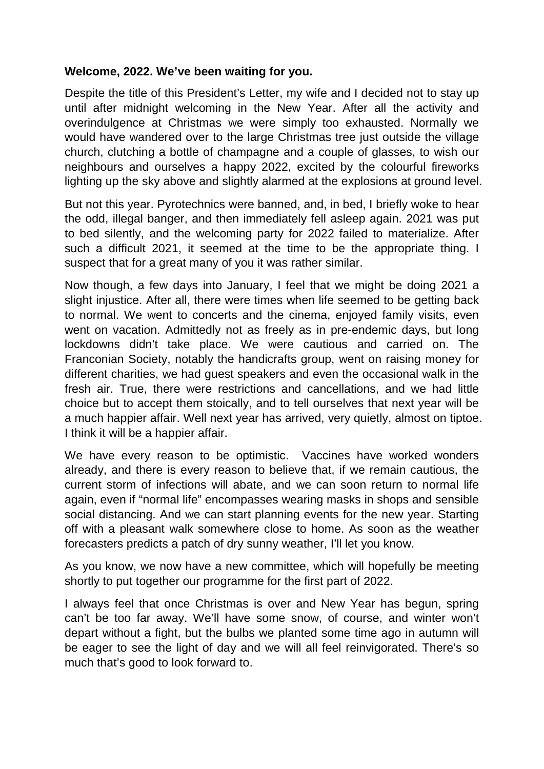#### **Welcome, 2022. We've been waiting for you.**

Despite the title of this President's Letter, my wife and I decided not to stay up until after midnight welcoming in the New Year. After all the activity and overindulgence at Christmas we were simply too exhausted. Normally we would have wandered over to the large Christmas tree just outside the village church, clutching a bottle of champagne and a couple of glasses, to wish our neighbours and ourselves a happy 2022, excited by the colourful fireworks lighting up the sky above and slightly alarmed at the explosions at ground level.

But not this year. Pyrotechnics were banned, and, in bed, I briefly woke to hear the odd, illegal banger, and then immediately fell asleep again. 2021 was put to bed silently, and the welcoming party for 2022 failed to materialize. After such a difficult 2021, it seemed at the time to be the appropriate thing. I suspect that for a great many of you it was rather similar.

Now though, a few days into January, I feel that we might be doing 2021 a slight injustice. After all, there were times when life seemed to be getting back to normal. We went to concerts and the cinema, enjoyed family visits, even went on vacation. Admittedly not as freely as in pre-endemic days, but long lockdowns didn't take place. We were cautious and carried on. The Franconian Society, notably the handicrafts group, went on raising money for different charities, we had guest speakers and even the occasional walk in the fresh air. True, there were restrictions and cancellations, and we had little choice but to accept them stoically, and to tell ourselves that next year will be a much happier affair. Well next year has arrived, very quietly, almost on tiptoe. I think it will be a happier affair.

We have every reason to be optimistic. Vaccines have worked wonders already, and there is every reason to believe that, if we remain cautious, the current storm of infections will abate, and we can soon return to normal life again, even if "normal life" encompasses wearing masks in shops and sensible social distancing. And we can start planning events for the new year. Starting off with a pleasant walk somewhere close to home. As soon as the weather forecasters predicts a patch of dry sunny weather, I'll let you know.

As you know, we now have a new committee, which will hopefully be meeting shortly to put together our programme for the first part of 2022.

I always feel that once Christmas is over and New Year has begun, spring can't be too far away. We'll have some snow, of course, and winter won't depart without a fight, but the bulbs we planted some time ago in autumn will be eager to see the light of day and we will all feel reinvigorated. There's so much that's good to look forward to.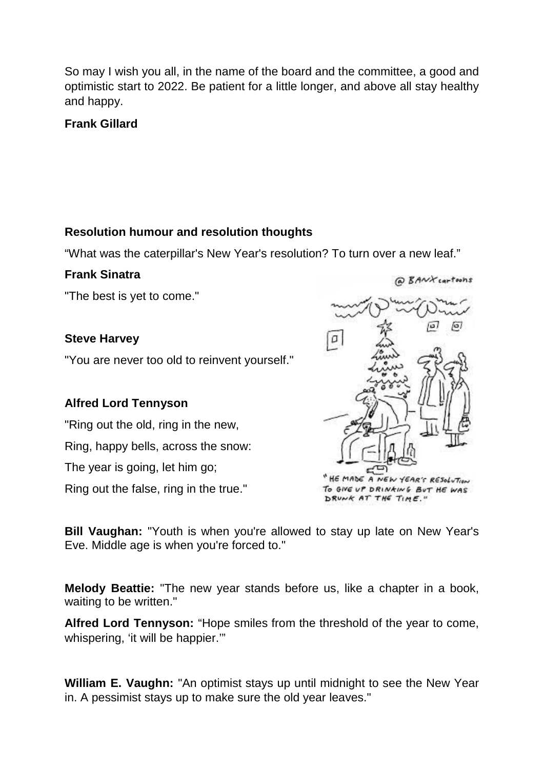So may I wish you all, in the name of the board and the committee, a good and optimistic start to 2022. Be patient for a little longer, and above all stay healthy and happy.

**Frank Gillard**

#### **Resolution humour and resolution thoughts**

"What was the caterpillar's New Year's resolution? To turn over a new leaf."

## **Frank Sinatra**

"The best is yet to come."

## **Steve Harvey**

"You are never too old to reinvent yourself."

# **Alfred Lord Tennyson**

"Ring out the old, ring in the new, Ring, happy bells, across the snow:

The year is going, let him go;

Ring out the false, ring in the true."

EMADE A NEW YEAR'S RESOLUTION

@ BANX cartoons

TO GIVE UP DRINKING BUT HE WAS DRUNK AT THE TIME."

**Bill Vaughan:** "Youth is when you're allowed to stay up late on New Year's Eve. Middle age is when you're forced to."

**Melody Beattie:** "The new year stands before us, like a chapter in a book, waiting to be written."

**Alfred Lord Tennyson:** "Hope smiles from the threshold of the year to come, whispering, 'it will be happier.'"

**William E. Vaughn:** "An optimist stays up until midnight to see the New Year in. A pessimist stays up to make sure the old year leaves."